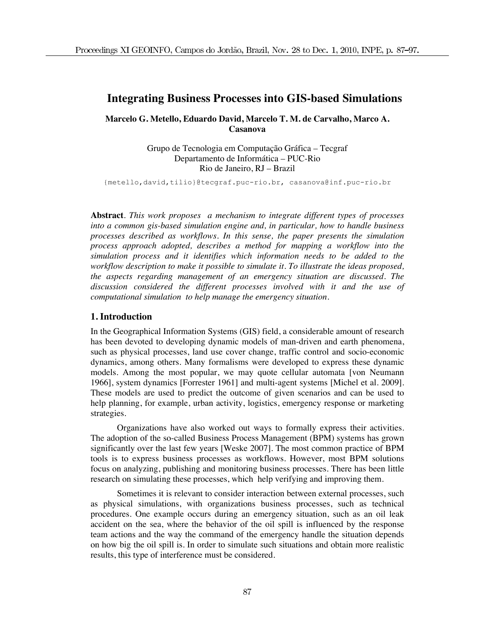# **Integrating Business Processes into GIS-based Simulations**

# **Marcelo G. Metello, Eduardo David, Marcelo T. M. de Carvalho, Marco A. Casanova**

Grupo de Tecnologia em Computação Gráfica – Tecgraf Departamento de Informática – PUC-Rio Rio de Janeiro, RJ – Brazil

{metello,david,tilio}@tecgraf.puc-rio.br, casanova@inf.puc-rio.br

**Abstract***. This work proposes a mechanism to integrate different types of processes into a common gis-based simulation engine and, in particular, how to handle business processes described as workflows. In this sense, the paper presents the simulation process approach adopted, describes a method for mapping a workflow into the simulation process and it identifies which information needs to be added to the workflow description to make it possible to simulate it. To illustrate the ideas proposed, the aspects regarding management of an emergency situation are discussed. The discussion considered the different processes involved with it and the use of computational simulation to help manage the emergency situation.* 

### **1. Introduction**

In the Geographical Information Systems (GIS) field, a considerable amount of research has been devoted to developing dynamic models of man-driven and earth phenomena, such as physical processes, land use cover change, traffic control and socio-economic dynamics, among others. Many formalisms were developed to express these dynamic models. Among the most popular, we may quote cellular automata [von Neumann 1966], system dynamics [Forrester 1961] and multi-agent systems [Michel et al. 2009]. These models are used to predict the outcome of given scenarios and can be used to help planning, for example, urban activity, logistics, emergency response or marketing strategies.

Organizations have also worked out ways to formally express their activities. The adoption of the so-called Business Process Management (BPM) systems has grown significantly over the last few years [Weske 2007]. The most common practice of BPM tools is to express business processes as workflows. However, most BPM solutions focus on analyzing, publishing and monitoring business processes. There has been little research on simulating these processes, which help verifying and improving them.

Sometimes it is relevant to consider interaction between external processes, such as physical simulations, with organizations business processes, such as technical procedures. One example occurs during an emergency situation, such as an oil leak accident on the sea, where the behavior of the oil spill is influenced by the response team actions and the way the command of the emergency handle the situation depends on how big the oil spill is. In order to simulate such situations and obtain more realistic results, this type of interference must be considered.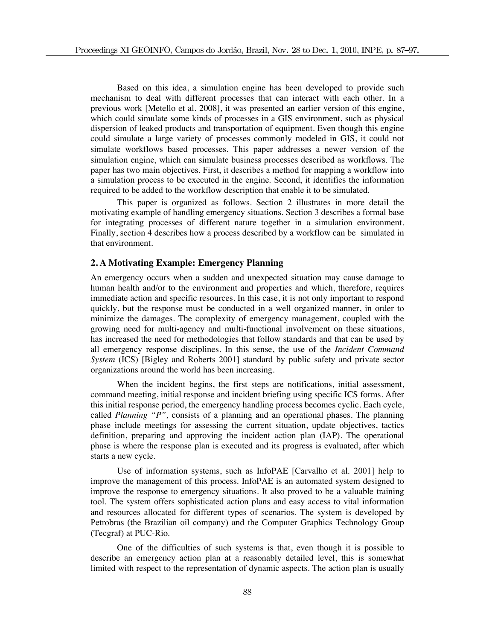Based on this idea, a simulation engine has been developed to provide such mechanism to deal with different processes that can interact with each other. In a previous work [Metello et al. 2008], it was presented an earlier version of this engine, which could simulate some kinds of processes in a GIS environment, such as physical dispersion of leaked products and transportation of equipment. Even though this engine could simulate a large variety of processes commonly modeled in GIS, it could not simulate workflows based processes. This paper addresses a newer version of the simulation engine, which can simulate business processes described as workflows. The paper has two main objectives. First, it describes a method for mapping a workflow into a simulation process to be executed in the engine. Second, it identifies the information required to be added to the workflow description that enable it to be simulated.

This paper is organized as follows. Section 2 illustrates in more detail the motivating example of handling emergency situations. Section 3 describes a formal base for integrating processes of different nature together in a simulation environment. Finally, section 4 describes how a process described by a workflow can be simulated in that environment.

# **2. A Motivating Example: Emergency Planning**

An emergency occurs when a sudden and unexpected situation may cause damage to human health and/or to the environment and properties and which, therefore, requires immediate action and specific resources. In this case, it is not only important to respond quickly, but the response must be conducted in a well organized manner, in order to minimize the damages. The complexity of emergency management, coupled with the growing need for multi-agency and multi-functional involvement on these situations, has increased the need for methodologies that follow standards and that can be used by all emergency response disciplines. In this sense, the use of the *Incident Command System* (ICS) [Bigley and Roberts 2001] standard by public safety and private sector organizations around the world has been increasing.

When the incident begins, the first steps are notifications, initial assessment, command meeting, initial response and incident briefing using specific ICS forms. After this initial response period, the emergency handling process becomes cyclic. Each cycle, called *Planning "P",* consists of a planning and an operational phases. The planning phase include meetings for assessing the current situation, update objectives, tactics definition, preparing and approving the incident action plan (IAP). The operational phase is where the response plan is executed and its progress is evaluated, after which starts a new cycle.

Use of information systems, such as InfoPAE [Carvalho et al. 2001] help to improve the management of this process. InfoPAE is an automated system designed to improve the response to emergency situations. It also proved to be a valuable training tool. The system offers sophisticated action plans and easy access to vital information and resources allocated for different types of scenarios. The system is developed by Petrobras (the Brazilian oil company) and the Computer Graphics Technology Group (Tecgraf) at PUC-Rio.

One of the difficulties of such systems is that, even though it is possible to describe an emergency action plan at a reasonably detailed level, this is somewhat limited with respect to the representation of dynamic aspects. The action plan is usually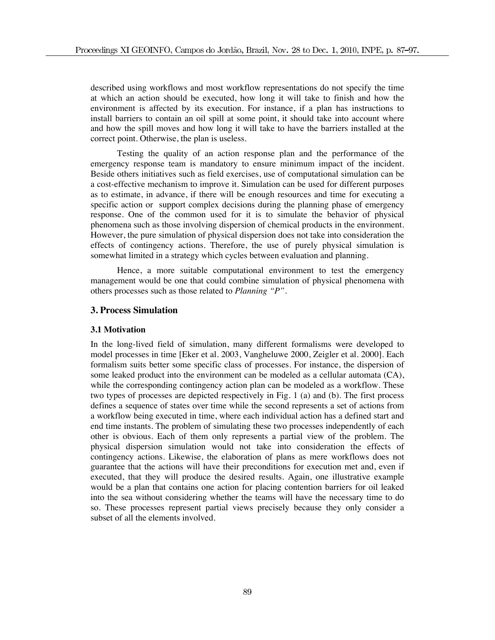described using workflows and most workflow representations do not specify the time at which an action should be executed, how long it will take to finish and how the environment is affected by its execution. For instance, if a plan has instructions to install barriers to contain an oil spill at some point, it should take into account where and how the spill moves and how long it will take to have the barriers installed at the correct point. Otherwise, the plan is useless.

Testing the quality of an action response plan and the performance of the emergency response team is mandatory to ensure minimum impact of the incident. Beside others initiatives such as field exercises, use of computational simulation can be a cost-effective mechanism to improve it. Simulation can be used for different purposes as to estimate, in advance, if there will be enough resources and time for executing a specific action or support complex decisions during the planning phase of emergency response. One of the common used for it is to simulate the behavior of physical phenomena such as those involving dispersion of chemical products in the environment. However, the pure simulation of physical dispersion does not take into consideration the effects of contingency actions. Therefore, the use of purely physical simulation is somewhat limited in a strategy which cycles between evaluation and planning.

Hence, a more suitable computational environment to test the emergency management would be one that could combine simulation of physical phenomena with others processes such as those related to *Planning "P"*.

# **3. Process Simulation**

#### **3.1 Motivation**

In the long-lived field of simulation, many different formalisms were developed to model processes in time [Eker et al. 2003, Vangheluwe 2000, Zeigler et al. 2000]. Each formalism suits better some specific class of processes. For instance, the dispersion of some leaked product into the environment can be modeled as a cellular automata (CA), while the corresponding contingency action plan can be modeled as a workflow. These two types of processes are depicted respectively in Fig. 1 (a) and (b). The first process defines a sequence of states over time while the second represents a set of actions from a workflow being executed in time, where each individual action has a defined start and end time instants. The problem of simulating these two processes independently of each other is obvious. Each of them only represents a partial view of the problem. The physical dispersion simulation would not take into consideration the effects of contingency actions. Likewise, the elaboration of plans as mere workflows does not guarantee that the actions will have their preconditions for execution met and, even if executed, that they will produce the desired results. Again, one illustrative example would be a plan that contains one action for placing contention barriers for oil leaked into the sea without considering whether the teams will have the necessary time to do so. These processes represent partial views precisely because they only consider a subset of all the elements involved.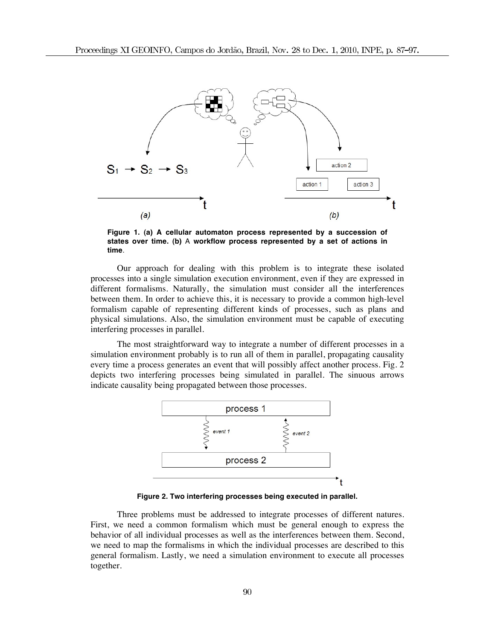

**Figure 1. (a) A cellular automaton process represented by a succession of states over time. (b)** A **workflow process represented by a set of actions in time**.

Our approach for dealing with this problem is to integrate these isolated processes into a single simulation execution environment, even if they are expressed in different formalisms. Naturally, the simulation must consider all the interferences between them. In order to achieve this, it is necessary to provide a common high-level formalism capable of representing different kinds of processes, such as plans and physical simulations. Also, the simulation environment must be capable of executing interfering processes in parallel.

The most straightforward way to integrate a number of different processes in a simulation environment probably is to run all of them in parallel, propagating causality every time a process generates an event that will possibly affect another process. Fig. 2 depicts two interfering processes being simulated in parallel. The sinuous arrows indicate causality being propagated between those processes.



**Figure 2. Two interfering processes being executed in parallel.**

Three problems must be addressed to integrate processes of different natures. First, we need a common formalism which must be general enough to express the behavior of all individual processes as well as the interferences between them. Second, we need to map the formalisms in which the individual processes are described to this general formalism. Lastly, we need a simulation environment to execute all processes together.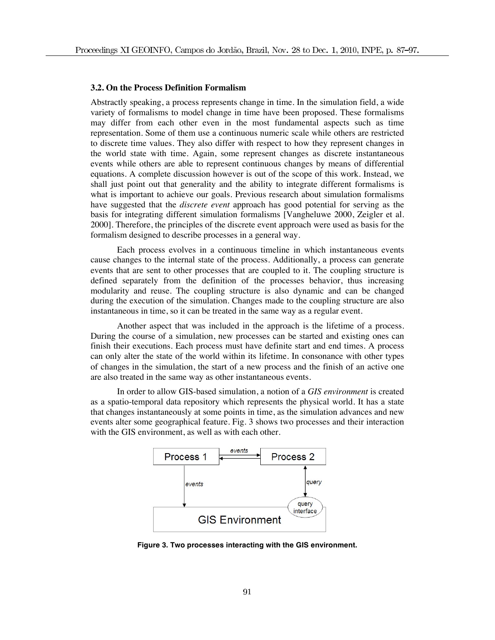#### **3.2. On the Process Definition Formalism**

Abstractly speaking, a process represents change in time. In the simulation field, a wide variety of formalisms to model change in time have been proposed. These formalisms may differ from each other even in the most fundamental aspects such as time representation. Some of them use a continuous numeric scale while others are restricted to discrete time values. They also differ with respect to how they represent changes in the world state with time. Again, some represent changes as discrete instantaneous events while others are able to represent continuous changes by means of differential equations. A complete discussion however is out of the scope of this work. Instead, we shall just point out that generality and the ability to integrate different formalisms is what is important to achieve our goals. Previous research about simulation formalisms have suggested that the *discrete event* approach has good potential for serving as the basis for integrating different simulation formalisms [Vangheluwe 2000, Zeigler et al. 2000]. Therefore, the principles of the discrete event approach were used as basis for the formalism designed to describe processes in a general way.

Each process evolves in a continuous timeline in which instantaneous events cause changes to the internal state of the process. Additionally, a process can generate events that are sent to other processes that are coupled to it. The coupling structure is defined separately from the definition of the processes behavior, thus increasing modularity and reuse. The coupling structure is also dynamic and can be changed during the execution of the simulation. Changes made to the coupling structure are also instantaneous in time, so it can be treated in the same way as a regular event.

Another aspect that was included in the approach is the lifetime of a process. During the course of a simulation, new processes can be started and existing ones can finish their executions. Each process must have definite start and end times. A process can only alter the state of the world within its lifetime. In consonance with other types of changes in the simulation, the start of a new process and the finish of an active one are also treated in the same way as other instantaneous events.

In order to allow GIS-based simulation, a notion of a *GIS environment* is created as a spatio-temporal data repository which represents the physical world. It has a state that changes instantaneously at some points in time, as the simulation advances and new events alter some geographical feature. Fig. 3 shows two processes and their interaction with the GIS environment, as well as with each other.



**Figure 3. Two processes interacting with the GIS environment.**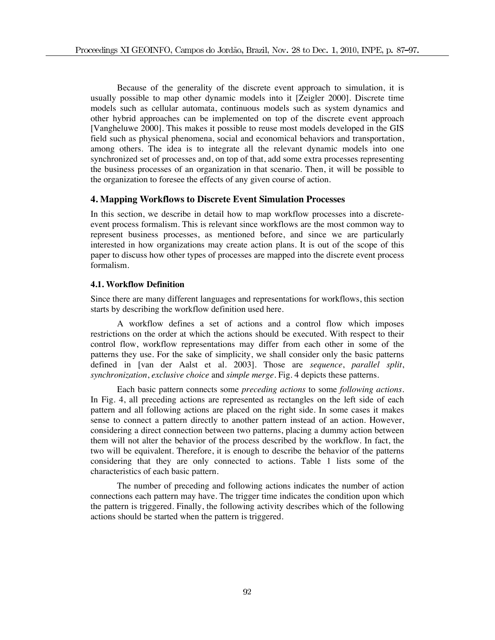Because of the generality of the discrete event approach to simulation, it is usually possible to map other dynamic models into it [Zeigler 2000]. Discrete time models such as cellular automata, continuous models such as system dynamics and other hybrid approaches can be implemented on top of the discrete event approach [Vangheluwe 2000]. This makes it possible to reuse most models developed in the GIS field such as physical phenomena, social and economical behaviors and transportation, among others. The idea is to integrate all the relevant dynamic models into one synchronized set of processes and, on top of that, add some extra processes representing the business processes of an organization in that scenario. Then, it will be possible to the organization to foresee the effects of any given course of action.

### **4. Mapping Workflows to Discrete Event Simulation Processes**

In this section, we describe in detail how to map workflow processes into a discreteevent process formalism. This is relevant since workflows are the most common way to represent business processes, as mentioned before, and since we are particularly interested in how organizations may create action plans. It is out of the scope of this paper to discuss how other types of processes are mapped into the discrete event process formalism.

### **4.1. Workflow Definition**

Since there are many different languages and representations for workflows, this section starts by describing the workflow definition used here.

A workflow defines a set of actions and a control flow which imposes restrictions on the order at which the actions should be executed. With respect to their control flow, workflow representations may differ from each other in some of the patterns they use. For the sake of simplicity, we shall consider only the basic patterns defined in [van der Aalst et al. 2003]. Those are *sequence*, *parallel split*, *synchronization*, *exclusive choice* and *simple merge*. Fig. 4 depicts these patterns.

Each basic pattern connects some *preceding actions* to some *following actions*. In Fig. 4, all preceding actions are represented as rectangles on the left side of each pattern and all following actions are placed on the right side. In some cases it makes sense to connect a pattern directly to another pattern instead of an action. However, considering a direct connection between two patterns, placing a dummy action between them will not alter the behavior of the process described by the workflow. In fact, the two will be equivalent. Therefore, it is enough to describe the behavior of the patterns considering that they are only connected to actions. Table 1 lists some of the characteristics of each basic pattern.

The number of preceding and following actions indicates the number of action connections each pattern may have. The trigger time indicates the condition upon which the pattern is triggered. Finally, the following activity describes which of the following actions should be started when the pattern is triggered.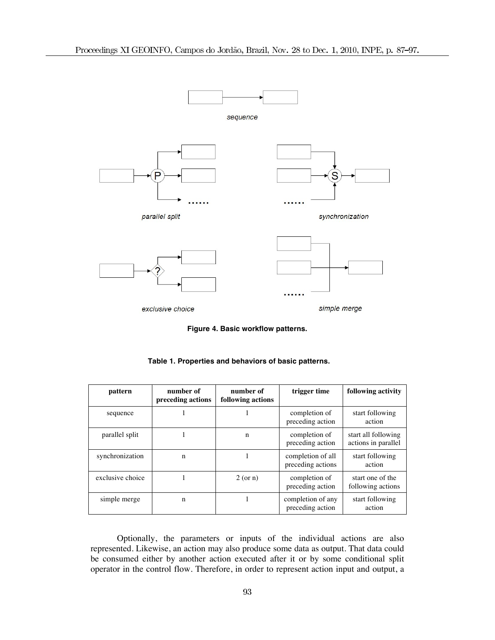

**Figure 4. Basic workflow patterns.**

| Table 1. Properties and behaviors of basic patterns. |  |  |
|------------------------------------------------------|--|--|
|------------------------------------------------------|--|--|

| pattern          | number of<br>preceding actions | number of<br>following actions | trigger time                           | following activity                         |
|------------------|--------------------------------|--------------------------------|----------------------------------------|--------------------------------------------|
| sequence         |                                |                                | completion of<br>preceding action      | start following<br>action                  |
| parallel split   |                                | $\mathbf n$                    | completion of<br>preceding action      | start all following<br>actions in parallel |
| synchronization  | n                              |                                | completion of all<br>preceding actions | start following<br>action                  |
| exclusive choice |                                | 2 (or n)                       | completion of<br>preceding action      | start one of the<br>following actions      |
| simple merge     | n                              |                                | completion of any<br>preceding action  | start following<br>action                  |

Optionally, the parameters or inputs of the individual actions are also represented. Likewise, an action may also produce some data as output. That data could be consumed either by another action executed after it or by some conditional split operator in the control flow. Therefore, in order to represent action input and output, a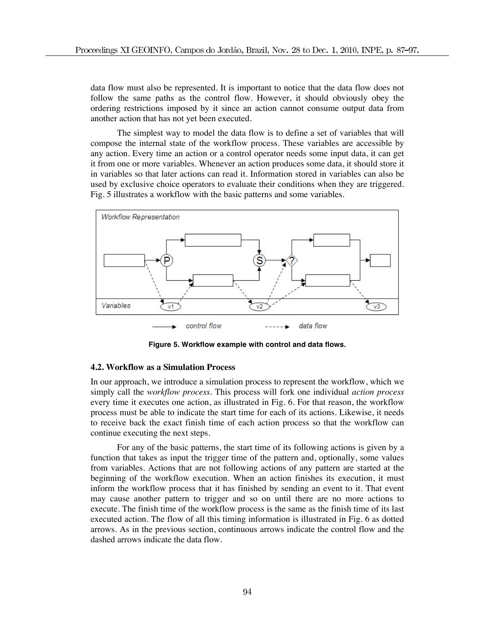data flow must also be represented. It is important to notice that the data flow does not follow the same paths as the control flow. However, it should obviously obey the ordering restrictions imposed by it since an action cannot consume output data from another action that has not yet been executed.

The simplest way to model the data flow is to define a set of variables that will compose the internal state of the workflow process. These variables are accessible by any action. Every time an action or a control operator needs some input data, it can get it from one or more variables. Whenever an action produces some data, it should store it in variables so that later actions can read it. Information stored in variables can also be used by exclusive choice operators to evaluate their conditions when they are triggered. Fig. 5 illustrates a workflow with the basic patterns and some variables.



**Figure 5. Workflow example with control and data flows.**

### **4.2. Workflow as a Simulation Process**

In our approach, we introduce a simulation process to represent the workflow, which we simply call the *workflow process*. This process will fork one individual *action process* every time it executes one action, as illustrated in Fig. 6. For that reason, the workflow process must be able to indicate the start time for each of its actions. Likewise, it needs to receive back the exact finish time of each action process so that the workflow can continue executing the next steps.

For any of the basic patterns, the start time of its following actions is given by a function that takes as input the trigger time of the pattern and, optionally, some values from variables. Actions that are not following actions of any pattern are started at the beginning of the workflow execution. When an action finishes its execution, it must inform the workflow process that it has finished by sending an event to it. That event may cause another pattern to trigger and so on until there are no more actions to execute. The finish time of the workflow process is the same as the finish time of its last executed action. The flow of all this timing information is illustrated in Fig. 6 as dotted arrows. As in the previous section, continuous arrows indicate the control flow and the dashed arrows indicate the data flow.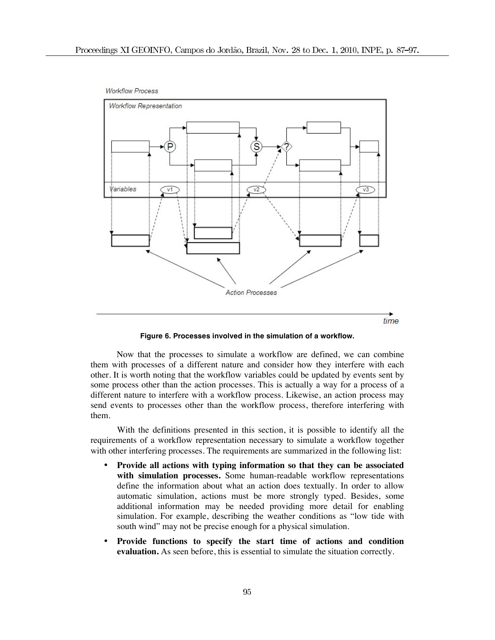

**Figure 6. Processes involved in the simulation of a workflow.**

Now that the processes to simulate a workflow are defined, we can combine them with processes of a different nature and consider how they interfere with each other. It is worth noting that the workflow variables could be updated by events sent by some process other than the action processes. This is actually a way for a process of a different nature to interfere with a workflow process. Likewise, an action process may send events to processes other than the workflow process, therefore interfering with them.

With the definitions presented in this section, it is possible to identify all the requirements of a workflow representation necessary to simulate a workflow together with other interfering processes. The requirements are summarized in the following list:

- **Provide all actions with typing information so that they can be associated with simulation processes.** Some human-readable workflow representations define the information about what an action does textually. In order to allow automatic simulation, actions must be more strongly typed. Besides, some additional information may be needed providing more detail for enabling simulation. For example, describing the weather conditions as "low tide with south wind" may not be precise enough for a physical simulation.
- **Provide functions to specify the start time of actions and condition evaluation.** As seen before, this is essential to simulate the situation correctly.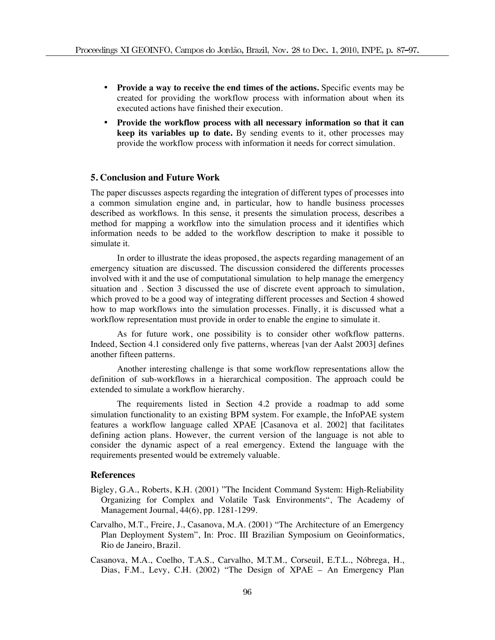- **Provide a way to receive the end times of the actions.** Specific events may be created for providing the workflow process with information about when its executed actions have finished their execution.
- **Provide the workflow process with all necessary information so that it can keep its variables up to date.** By sending events to it, other processes may provide the workflow process with information it needs for correct simulation.

# **5. Conclusion and Future Work**

The paper discusses aspects regarding the integration of different types of processes into a common simulation engine and, in particular, how to handle business processes described as workflows. In this sense, it presents the simulation process, describes a method for mapping a workflow into the simulation process and it identifies which information needs to be added to the workflow description to make it possible to simulate it.

In order to illustrate the ideas proposed, the aspects regarding management of an emergency situation are discussed. The discussion considered the differents processes involved with it and the use of computational simulation to help manage the emergency situation and . Section 3 discussed the use of discrete event approach to simulation, which proved to be a good way of integrating different processes and Section 4 showed how to map workflows into the simulation processes. Finally, it is discussed what a workflow representation must provide in order to enable the engine to simulate it.

As for future work, one possibility is to consider other wofkflow patterns. Indeed, Section 4.1 considered only five patterns, whereas [van der Aalst 2003] defines another fifteen patterns.

Another interesting challenge is that some workflow representations allow the definition of sub-workflows in a hierarchical composition. The approach could be extended to simulate a workflow hierarchy.

The requirements listed in Section 4.2 provide a roadmap to add some simulation functionality to an existing BPM system. For example, the InfoPAE system features a workflow language called XPAE [Casanova et al. 2002] that facilitates defining action plans. However, the current version of the language is not able to consider the dynamic aspect of a real emergency. Extend the language with the requirements presented would be extremely valuable.

## **References**

- Bigley, G.A., Roberts, K.H. (2001) "The Incident Command System: High-Reliability Organizing for Complex and Volatile Task Environments", The Academy of Management Journal, 44(6), pp. 1281-1299.
- Carvalho, M.T., Freire, J., Casanova, M.A. (2001) "The Architecture of an Emergency Plan Deployment System", In: Proc. III Brazilian Symposium on Geoinformatics, Rio de Janeiro, Brazil.
- Casanova, M.A., Coelho, T.A.S., Carvalho, M.T.M., Corseuil, E.T.L., Nóbrega, H., Dias, F.M., Levy, C.H. (2002) "The Design of XPAE – An Emergency Plan